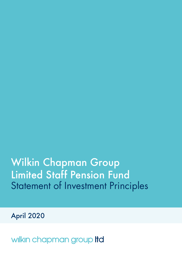# Wilkin Chapman Group Limited Staff Pension Fund Statement of Investment Principles

April 2020

wilkin chapman group Itd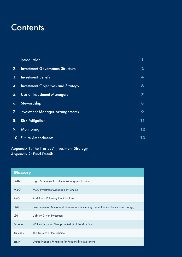### **Contents**

| <b>ny</b>      | Introduction                              |                  |
|----------------|-------------------------------------------|------------------|
| 2.             | <b>Investment Governance Structure</b>    | $\mathbf{2}$     |
| 3.             | <b>Investment Beliefs</b>                 | 4                |
| $\mathbf{A}$ . | <b>Investment Objectives and Strategy</b> | $\boldsymbol{6}$ |
|                | 5. Use of Investment Managers             | $\overline{ }$   |
| 6.             | Stewardship                               | 8                |
|                | 7. Investment Manager Arrangements        | 9                |
| 8.             | <b>Risk Mitigation</b>                    | 11               |
| 9.             | Monitoring                                | 12               |
|                | 10. Future Amendments                     | 13               |

### Appendix 1: The Trustees' Investment Strategy Appendix 2: Fund Details

| Glossary        |                                                                                      |
|-----------------|--------------------------------------------------------------------------------------|
| <b>LGIM</b>     | Legal & General Investment Management Limited                                        |
| M&G             | M&G Investment Management Limited                                                    |
| <b>AVCs</b>     | <b>Additional Voluntary Contributions</b>                                            |
| <b>ESG</b>      | Environmental, Social and Governance (including, but not limited to, climate change) |
| LDI             | Liability Driven Investment                                                          |
| Scheme          | Wilkin Chapman Group Limited Staff Pension Fund                                      |
| <b>Trustees</b> | The Trustees of the Scheme                                                           |
| <b>UNPRI</b>    | United Nations Principles for Responsible Investment                                 |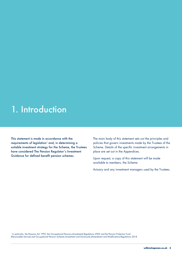### 1. Introduction

This statement is made in accordance with the requirements of legislation<sup>1</sup> and, in determining a suitable investment strategy for the Scheme, the Trustees have considered The Pension Regulator's Investment Guidance for defined benefit pension schemes.

The main body of this statement sets out the principles and policies that govern investments made by the Trustees of the Scheme. Details of the specific investment arrangements in place are set out in the Appendices.

Upon request, a copy of this statement will be made available to members, the Scheme

Actuary and any investment managers used by the Trustees.

<sup>1</sup> In particular, the Pensions Act 1995, the Occupational Pensions (Investment) Regulations 2005 and the Pension Protection Fund (Pensionable Service) and Occupational Pension Schemes (Investment and Disclosure) (Amendment and Modification) Regulations 2018.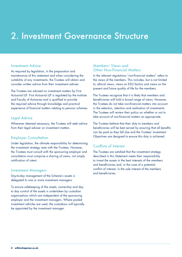### 2. Investment Governance Structure

#### Investment Advice

As required by legislation, in the preparation and maintenance of this statement and when considering the suitability of any investments, the Trustees will obtain and consider written advice from their investment adviser.

The Trustees are advised on investment matters by First Actuarial LLP. First Actuarial LLP is regulated by the Institute and Faculty of Actuaries and is qualified to provide the required advice through knowledge and practical experience of financial matters relating to pension schemes.

### Legal Advice

Whenever deemed necessary, the Trustees will seek advice from their legal adviser on investment matters.

### Employer Consultation

Under legislation, the ultimate responsibility for determining the investment strategy rests with the Trustees. However, the Trustees must consult with the sponsoring employer and consultation must comprise a sharing of views, not simply notification of intent.

#### Investment Managers

Day-to-day management of the Scheme's assets is delegated to one or more investment managers.

To ensure safekeeping of the assets, ownership and day to day control of the assets is undertaken by custodian organisations which are independent of the sponsoring employer and the investment managers. Where pooled investment vehicles are used, the custodians will typically be appointed by the investment manager.

### Members' Views and Other Non-Financial Matters

In the relevant regulations "non-financial matters" refers to the views of the members. This includes, but is not limited to, ethical views, views on ESG factors and views on the present and future quality of life for the members.

The Trustees recognise that it is likely that members and beneficiaries will hold a broad range of views. However, the Trustees do not take non-financial matters into account in the selection, retention and realisation of investments. The Trustees will review their policy on whether or not to take account of non-financial matters as appropriate.

The Trustees believe that their duty to members and beneficiaries will be best served by ensuring that all benefits can be paid as they fall due and the Trustees' Investment Objectives are designed to ensure this duty is achieved.

### Conflicts of Interest

The Trustees are satisfied that the investment strategy described in this Statement meets their responsibility to invest the assets in the best interests of the members and beneficiaries and, in the case of a potential conflict of interest, in the sole interest of the members and beneficiaries.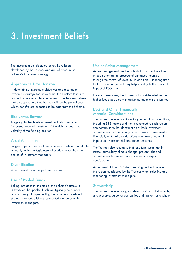# 3. Investment Beliefs

The investment beliefs stated below have been developed by the Trustees and are reflected in the Scheme's investment strategy.

### Appropriate Time Horizon

In determining investment objectives and a suitable investment strategy for the Scheme, the Trustees take into account an appropriate time horizon. The Trustees believe that an appropriate time horizon will be the period over which benefits are expected to be paid from the Scheme.

#### Risk versus Reward

Targeting higher levels of investment return requires increased levels of investment risk which increases the volatility of the funding position.

#### Asset Allocation

Long-term performance of the Scheme's assets is attributable primarily to the strategic asset allocation rather than the choice of investment managers.

#### **Diversification**

Asset diversification helps to reduce risk.

#### Use of Pooled Funds

Taking into account the size of the Scheme's assets, it is expected that pooled funds will typically be a more practical way of implementing the Scheme's investment strategy than establishing segregated mandates with investment managers.

### Use of Active Management

Active management has the potential to add value either through offering the prospect of enhanced returns or through the control of volatility. In addition, it is recognised that active management may help to mitigate the financial impact of ESG risks.

For each asset class, the Trustees will consider whether the higher fees associated with active management are justified.

### ESG and Other Financially Material Considerations

The Trustees believe that financially material considerations, including ESG factors and the risks related to such factors, can contribute to the identification of both investment opportunities and financially material risks. Consequently, financially material considerations can have a material impact on investment risk and return outcomes.

The Trustees also recognise that long-term sustainability issues, particularly climate change, present risks and opportunities that increasingly may require explicit consideration.

Assessment of how ESG risks are mitigated will be one of the factors considered by the Trustees when selecting and monitoring investment managers.

#### **Stewardship**

The Trustees believe that good stewardship can help create, and preserve, value for companies and markets as a whole.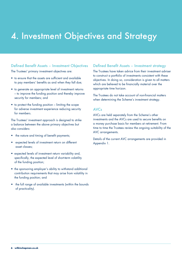## 4. Investment Objectives and Strategy

### Defined Benefit Assets – Investment Objectives

The Trustees' primary investment objectives are:

- to ensure that the assets are sufficient and available to pay members' benefits as and when they fall due;
- to generate an appropriate level of investment returns – to improve the funding position and thereby improve security for members; and
- to protect the funding position limiting the scope for adverse investment experience reducing security for members.

The Trustees' investment approach is designed to strike a balance between the above primary objectives but also considers:

- the nature and timing of benefit payments;
- expected levels of investment return on different asset classes;
- expected levels of investment return variability and, specifically, the expected level of short-term volatility of the funding position;
- the sponsoring employer's ability to withstand additional contribution requirements that may arise from volatility in the funding position; and
- the full range of available investments (within the bounds of practicality).

### Defined Benefit Assets – Investment strategy

The Trustees have taken advice from their investment adviser to construct a portfolio of investments consistent with these objectives. In doing so, consideration is given to all matters which are believed to be financially material over the appropriate time horizon.

The Trustees do not take account of non-financial matters when determining the Scheme's investment strategy.

#### AVCs

AVCs are held separately from the Scheme's other investments and the AVCs are used to secure benefits on a money purchase basis for members at retirement. From time to time the Trustees review the ongoing suitability of the AVC arrangements.

Details of the current AVC arrangements are provided in Appendix 1.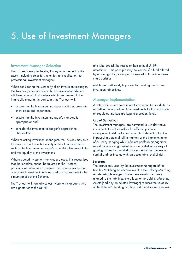## 5. Use of Investment Managers

### Investment Manager Selection

The Trustees delegate the day to day management of the assets, including selection, retention and realisation, to professional investment managers.

When considering the suitability of an investment manager, the Trustees (in conjunction with their investment adviser), will take account of all matters which are deemed to be financially material. In particular, the Trustees will:

- ensure that the investment manager has the appropriate knowledge and experience;
- ensure that the investment manager's mandate is appropriate; and
- consider the investment manager's approach to ESG matters.

When selecting investment managers, the Trustees may also take into account non- financially material considerations such as the investment manager's administrative capabilities and the liquidity of the investments.

Where pooled investment vehicles are used, it is recognised that the mandate cannot be tailored to the Trustees' particular requirements. However, the Trustees ensure that any pooled investment vehicles used are appropriate to the circumstances of the Scheme.

The Trustees will normally select investment managers who are signatories to the UNPRI

and who publish the results of their annual UNPRI assessment. This principle may be waived if a fund offered by a non-signatory manager is deemed to have investment characteristics

which are particularly important for meeting the Trustees' investment objectives.

### Manager Implementation

Assets are invested predominantly on regulated markets, as so defined in legislation. Any investments that do not trade on regulated markets are kept to a prudent level.

#### *Use of Derivatives*

The investment managers are permitted to use derivative instruments to reduce risk or for efficient portfolio management. Risk reduction would include mitigating the impact of a potential fall in markets or the implementation of currency hedging whilst efficient portfolio management would include using derivatives as a cost-effective way of gaining access to a market or as a method for generating capital and/or income with an acceptable level of risk.

#### *Leverage*

The instruments used by the investment managers of the Liability Matching Assets may result in the Liability Matching Assets being leveraged. Since these assets are closely aligned to the liabilities, the allocation to Liability Matching Assets (and any associated leverage) reduces the volatility of the Scheme's funding position and therefore reduces risk.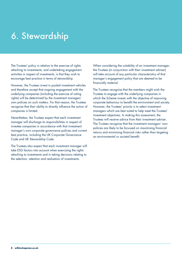# 6. Stewardship

The Trustees' policy in relation to the exercise of rights attaching to investments, and undertaking engagement activities in respect of investments, is that they wish to encourage best practice in terms of stewardship.

However, the Trustees invest in pooled investment vehicles and therefore accept that ongoing engagement with the underlying companies (including the exercise of voting rights) will be determined by the investment managers' own policies on such matters. For that reason, the Trustees recognise that their ability to directly influence the action of companies is limited.

Nevertheless, the Trustees expect that each investment manager will discharge its responsibilities in respect of investee companies in accordance with that investment manager's own corporate governance policies and current best practice, including the UK Corporate Governance Code and UK Stewardship Code.

The Trustees also expect that each investment manager will take ESG factors into account when exercising the rights attaching to investments and in taking decisions relating to the selection, retention and realisation of investments.

When considering the suitability of an investment manager, the Trustees (in conjunction with their investment adviser) will take account of any particular characteristics of that manager's engagement policy that are deemed to be financially material.

The Trustees recognise that the members might wish the Trustees to engage with the underlying companies in which the Scheme invests with the objective of improving corporate behaviour to benefit the environment and society. However, the Trustees' priority is to select investment managers which are best suited to help meet the Trustees' investment objectives. In making this assessment, the Trustees will receive advice from their investment adviser. The Trustees recognise that the investment managers' own policies are likely to be focussed on maximising financial returns and minimising financial risks rather than targeting an environmental or societal benefit.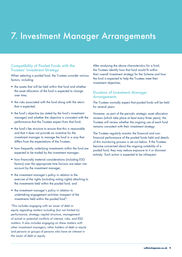## 7. Investment Manager Arrangements

### Compatibility of Pooled Funds with the Trustees' Investment Strategy

When selecting a pooled fund, the Trustees consider various factors, including:

- the assets that will be held within that fund and whether the asset allocation of the fund is expected to change over time;
- the risks associated with the fund along with the return that is expected;
- the fund's objective (as stated by the fund's investment manager) and whether the objective is consistent with the performance that the Trustees expect from that fund;
- the fund's fee structure to ensure that this is reasonable and that it does not provide an incentive for the investment manager to manage the fund in a way that differs from the expectations of the Trustees.
- how frequently underlying investments within the fund are expected to be traded by the investment manager;
- how financially material considerations (including ESG factors) over the appropriate time horizon are taken into account by the investment manager;
- the investment manager's policy in relation to the exercise of the rights (including voting rights) attaching to the investments held within the pooled fund; and
- the investment manager's policy in relation to undertaking engagement activities inrespect of the investments held within the pooled fund\*.

*\*This includes engaging with an issuer of debt or equity regarding matters including (but not limited to) performance, strategy, capital structure, management of actual or potential conflicts of interest, risks, and ESG matters. It also includes engaging on these matters with other investment managers, other holders of debt or equity and persons or groups of persons who have an interest in the issuer of debt or equity.*

After analysing the above characteristics for a fund, the Trustees identify how that fund would fit within their overall investment strategy for the Scheme and how the fund is expected to help the Trustees meet their investment objectives.

### Duration of Investment Manager **Arrangements**

The Trustees normally expect that pooled funds will be held for several years.

However, as part of the periodic strategic asset allocation reviews (which take place at least every three years), the Trustees will review whether the ongoing use of each fund remains consistent with their investment strategy.

The Trustees regularly monitor the financial and nonfinancial performance of the pooled funds held and details of this monitoring process is set out below. If the Trustees become concerned about the ongoing suitability of a pooled fund, they may reduce exposure to it or disinvest entirely. Such action is expected to be infrequent.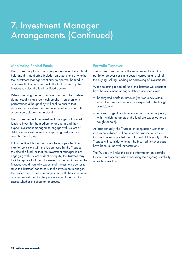## 7. Investment Manager Arrangements (Continued)

### Monitoring Pooled Funds

The Trustees regularly assess the performance of each fund held and this monitoring includes an assessment of whether the investment manager continues to operate the fund in a manner that is consistent with the factors used by the Trustees to select the fund (as listed above).

When assessing the performance of a fund, the Trustees do not usually place too much emphasis on short-term performance although they will seek to ensure that reasons for short-term performance (whether favourable or unfavourable) are understood.

The Trustees expect the investment managers of pooled funds to invest for the medium to long term and they expect investment managers to engage with issuers of debt or equity with a view to improving performance over this time frame.

If it is identified that a fund is not being operated in a manner consistent with the factors used by the Trustees to select the fund, or that the investment manager is not engaging with issuers of debt or equity, the Trustees may look to replace that fund. However, in the first instance, the Trustees would normally expect their investment adviser to raise the Trustees' concerns with the investment manager. Thereafter, the Trustees, in conjunction with their investment adviser, would monitor the performance of the fund to assess whether the situation improves.

### Portfolio Turnover

The Trustees are aware of the requirement to monitor portfolio turnover costs (the costs incurred as a result of the buying, selling, lending or borrowing of investments).

When selecting a pooled fund, the Trustees will consider how the investment manager defines and measures:

- the targeted portfolio turnover (the frequency within which the assets of the fund are expected to be bought or sold); and
- turnover range (the minimum and maximum frequency within which the assets of the fund are expected to be bought or sold).

At least annually, the Trustees, in conjunction with their investment adviser, will consider the transaction costs incurred on each pooled fund. As part of this analysis, the Trustees will consider whether the incurred turnover costs have been in line with expectations.

The Trustees will take the above information on portfolio turnover into account when assessing the ongoing suitability of each pooled fund.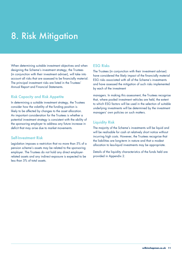# 8. Risk Mitigation

When determining suitable investment objectives and when designing the Scheme's investment strategy, the Trustees (in conjunction with their investment adviser), will take into account all risks that are assessed to be financially material. The principal investment risks are listed in the Trustees' Annual Report and Financial Statements.

### Risk Capacity and Risk Appetite

In determining a suitable investment strategy, the Trustees consider how the volatility of the funding position is likely to be affected by changes to the asset allocation. An important consideration for the Trustees is whether a potential investment strategy is consistent with the ability of the sponsoring employer to address any future increase in deficit that may arise due to market movements.

#### Self-Investment Risk

Legislation imposes a restriction that no more than 5% of a pension scheme's assets may be related to the sponsoring employer. The Trustees do not hold any direct employerrelated assets and any indirect exposure is expected to be less than 5% of total assets.

### ESG Risks

The Trustees (in conjunction with their investment adviser) have considered the likely impact of the financially material ESG risks associated with all of the Scheme's investments and have assessed the mitigation of such risks implemented by each of the investment

managers. In making this assessment, the Trustees recognise that, where pooled investment vehicles are held, the extent to which ESG factors will be used in the selection of suitable underlying investments will be determined by the investment managers' own policies on such matters.

### Liquidity Risk

The majority of the Scheme's investments will be liquid and will be realisable for cash at relatively short notice without incurring high costs. However, the Trustees recognise that the liabilities are long-term in nature and that a modest allocation to less-liquid investments may be appropriate.

Details of the liquidity characteristics of the funds held are provided in Appendix 2.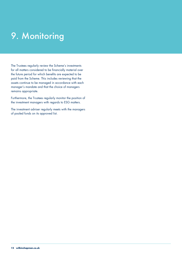# 9. Monitoring

The Trustees regularly review the Scheme's investments for all matters considered to be financially material over the future period for which benefits are expected to be paid from the Scheme. This includes reviewing that the assets continue to be managed in accordance with each manager's mandate and that the choice of managers remains appropriate.

Furthermore, the Trustees regularly monitor the position of the investment managers with regards to ESG matters.

The investment adviser regularly meets with the managers of pooled funds on its approved list.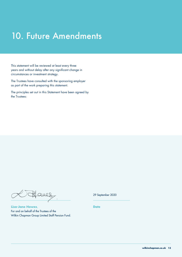## 10. Future Amendments

This statement will be reviewed at least every three years and without delay after any significant change in circumstances or investment strategy.

The Trustees have consulted with the sponsoring employer as part of the work preparing this statement.

The principles set out in this Statement have been agreed by the Trustees:

Octfanes

**Lisa-Jane Howes**, For and on behalf of the Trustees of the Wilkin Chapman Group Limited Staff Pension Fund. 29 September 2020

**Date**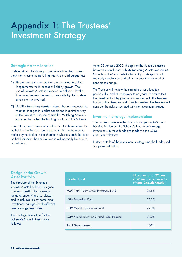## Appendix 1: The Trustees' Investment Strategy

### Strategic Asset Allocation

In determining the strategic asset allocation, the Trustees view the investments as falling into two broad categories:

- 1) Growth Assets Assets that are expected to deliver long-term returns in excess of liability growth. The use of Growth Assets is expected to deliver a level of investment returns deemed appropriate by the Trustees given the risk involved.
- 2) Liability Matching Assets Assets that are expected to react to changes in market conditions in a similar way to the liabilities. The use of Liability Matching Assets is expected to protect the funding position of the Scheme.

In addition, the Trustees may hold cash. Cash will normally be held in the Trustees' bank account if it is to be used to make payments due in the short-term whereas cash that is to be held for more than a few weeks will normally be held in a cash fund.

As at 22 January 2020, the split of the Scheme's assets between Growth and Liability Matching Assets was 73.4% Growth and 26.6% Liability Matching. This split is not regularly rebalanced and will vary over time as market conditions change.

The Trustees will review the strategic asset allocation periodically, and at least every three years, to ensure that the investment strategy remains consistent with the Trustees' funding objectives. As part of such a review, the Trustees will consider the risks associated with the investment strategy.

### Investment Strategy Implementation

The Trustees have selected funds managed by M&G and LGIM to implement the Scheme's investment strategy. Investments in these funds are made via the LGIM investment platform.

Further details of the investment strategy and the funds used are provided below.

### Design of the Growth Asset Portfolio

The structure of the Scheme's Growth Assets has been designed to offer diversification across a range of underlying asset classes and to achieve this by combining investment managers with different asset management styles.

The strategic allocation for the Scheme's Growth Assets is as follows:

| <b>Pooled Fund</b>                        | Allocation as at 22 Jan<br>2020 (expressed as a $%$<br>of total Growth Assets) |
|-------------------------------------------|--------------------------------------------------------------------------------|
| M&G Total Return Credit Investment Fund   | 24.8%                                                                          |
| <b>IGIM Diversified Fund</b>              | 17.2%                                                                          |
| <b>LGIM World Equity Index Fund</b>       | 29.0%                                                                          |
| LGIM World Equity Index Fund - GBP Hedged | 29.0%                                                                          |
| <b>Total Growth Assets</b>                | 100%                                                                           |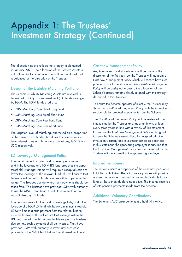## Appendix 1: The Trustees' Investment Strategy (Continued)

The allocation above reflects the strategy implemented in January 2020. The allocation of the Growth Assets is not automatically rebalanced but will be monitored and rebalanced at the discretion of the Trustees.

### Design of the Liability Matching Portfolio

The Scheme's Liability Matching Assets are invested in leveraged Liability Driven Investment (LDI) funds managed by LGIM. The LGIM funds used are:

- LGIM Matching Core Fixed Long Fund
- LGIM Matching Core Fixed Short Fund
- LGIM Matching Core Real Long Fund
- LGIM Matching Core Real Short Fund

The targeted level of matching, expressed as a proportion of the sensitivity of funded liabilities to changes in long term interest rates and inflation expectations, is 51% and 53% respectively.

### LDI Leverage Management Policy

In an environment of rising yields, leverage increases, and if the leverage of a LGIM LDI fund breaches the upper threshold, Manager Name will require a recapitalisation to lower the leverage of the relevant fund. This will ensure that leverage within the LDI funds remains within a permissible range. The Trustees decide where such payments should be taken from. The Trustees have provided LGIM with authority to use the M&G Total Return Credit Investment Fund to recapitalise any LDI funds.

In an environment of falling yields, leverage falls, and if the leverage of a LGIM LDI fund falls below a minimum threshold, LGIM will make a cash payment from the relevant fund to raise the leverage. This will ensure that leverage within the LDI funds remains within a permissible range. The Trustees decide how such payments shall be invested. They have provided LGIM with authority to invest any such cash proceeds in the M&G Total Return Credit Investment Fund.

### Cashflow Management Policy

Any investments or disinvestments will be made at the discretion of the Trustees, but the Trustees will maintain a *Cashflow Management Policy* which will record how such payments should be structured. *The Cashflow Management Policy* will be designed to ensure the allocation of the Scheme's assets remains closely aligned with the strategy described in this statement.

To ensure the Scheme operates efficiently, the Trustees may share the *Cashflow Management Policy* with the individual(s) responsible for processing payments from the Scheme.

The *Cashflow Management Policy* will be reviewed from time-to-time by the Trustees and, as a minimum, at least every three years in line with a review of this statement. Given that the *Cashflow Management Policy* is designed to keep the Scheme's asset allocation aligned with the investment strategy and investment principles described in this statement, the sponsoring employer is satisfied that the *Cashflow Management Policy* can be amended by the Trustees without consulting the sponsoring employer.

### Insured Pensioners

The Trustees insure a proportion of the Scheme's pensioner liabilities with Aviva. These insurance policies will provide a stream of income in respect of named individuals for as long as those individuals remain alive. The income received offsets pension payments made from the Scheme.

### Additional Voluntary Contributions

The Scheme's AVC arrangements are held with Aviva.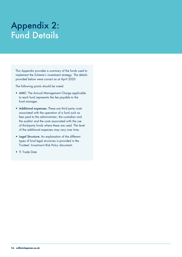This Appendix provides a summary of the funds used to implement the Scheme's investment strategy. The details provided below were correct as at April 2020

The following points should be noted:

- AMC: The Annual Management Charge applicable to each fund represents the fee payable to the fund manager.
- Additional expenses: These are third party costs associated with the operation of a fund such as fees paid to the administrator, the custodian and the auditor and the costs associated with the use of third-party funds where these are used. The level of the additional expenses may vary over time.
- Legal Structure: An explanation of the different types of fund legal structures is provided in the Trustees' *Investment Risk Policy* document.
- T: Trade Date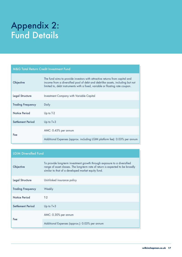| <b>M&amp;G Total Return Credit Investment Fund</b> |                                                                                                                                                                                                                                               |  |
|----------------------------------------------------|-----------------------------------------------------------------------------------------------------------------------------------------------------------------------------------------------------------------------------------------------|--|
| Objective                                          | The fund aims to provide investors with attractive returns from capital and<br>income from a diversified pool of debt and debt-like assets, including but not<br>limited to, debt instruments with a fixed, variable or floating rate coupon. |  |
| <b>Legal Structure</b>                             | Investment Company with Variable Capital                                                                                                                                                                                                      |  |
| <b>Trading Frequency</b>                           | Daily                                                                                                                                                                                                                                         |  |
| Notice Period                                      | Up to $T-2$                                                                                                                                                                                                                                   |  |
| Settlement Period                                  | Up to $T+3$                                                                                                                                                                                                                                   |  |
|                                                    | AMC: 0.45% per annum                                                                                                                                                                                                                          |  |
| Fee                                                | Additional Expenses (approx. including LGIM platform fee): 0.03% per annum                                                                                                                                                                    |  |

| <b>LGIM Diversified Fund</b> |                                                                                                                                                                                                                  |  |
|------------------------------|------------------------------------------------------------------------------------------------------------------------------------------------------------------------------------------------------------------|--|
| Objective                    | To provide long-term investment growth through exposure to a diversified<br>range of asset classes. The long-term rate of return is expected to be broadly<br>similar to that of a developed market equity fund. |  |
| <b>Legal Structure</b>       | Unit-linked insurance policy                                                                                                                                                                                     |  |
| <b>Trading Frequency</b>     | Weekly                                                                                                                                                                                                           |  |
| <b>Notice Period</b>         | $T-2$                                                                                                                                                                                                            |  |
| Settlement Period            | Up to $T+3$                                                                                                                                                                                                      |  |
|                              | AMC: 0.30% per annum                                                                                                                                                                                             |  |
| Fee                          | Additional Expenses (approx.): 0.03% per annum                                                                                                                                                                   |  |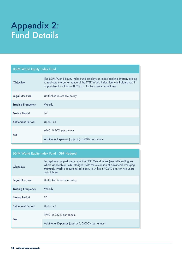| <b>LGIM World Equity Index Fund</b> |                                                                                                                                                                                                                               |  |
|-------------------------------------|-------------------------------------------------------------------------------------------------------------------------------------------------------------------------------------------------------------------------------|--|
| Objective                           | The LGIM World Equity Index Fund employs an index-tracking strategy aiming<br>to replicate the performance of the FTSE World Index (less withholding tax if<br>applicable) to within +/-0.5% p.a. for two years out of three. |  |
| <b>Legal Structure</b>              | Unit-linked insurance policy                                                                                                                                                                                                  |  |
| <b>Trading Frequency</b>            | Weekly                                                                                                                                                                                                                        |  |
| Notice Period                       | $T-2$                                                                                                                                                                                                                         |  |
| Settlement Period                   | Up to $T+3$                                                                                                                                                                                                                   |  |
| Fee                                 | AMC: 0.20% per annum                                                                                                                                                                                                          |  |
|                                     | Additional Expenses (approx.): 0.00% per annum                                                                                                                                                                                |  |

### LGIM World Equity Index Fund - GBP Hedged

| Objective                | To replicate the performance of the FTSE World Index (less withholding tax<br>where applicable) - GBP Hedged (with the exception of advanced emerging<br>markets), which is a customised index, to within $+/-0.5\%$ p.a. for two years<br>out of three. |
|--------------------------|----------------------------------------------------------------------------------------------------------------------------------------------------------------------------------------------------------------------------------------------------------|
| <b>Legal Structure</b>   | Unit-linked insurance policy                                                                                                                                                                                                                             |
| <b>Trading Frequency</b> | Weekly                                                                                                                                                                                                                                                   |
| <b>Notice Period</b>     | $T-2$                                                                                                                                                                                                                                                    |
| Settlement Period        | Up to $T+3$                                                                                                                                                                                                                                              |
|                          | AMC: 0.223% per annum                                                                                                                                                                                                                                    |
| Fee                      | Additional Expenses (approx.): 0.000% per annum                                                                                                                                                                                                          |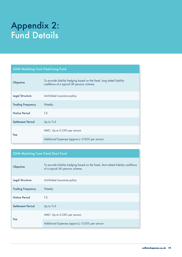| <b>LGIM Matching Core Fixed Long Fund</b> |                                                                                                                    |  |
|-------------------------------------------|--------------------------------------------------------------------------------------------------------------------|--|
| Objective                                 | To provide liability hedging based on the fixed, long dated liability<br>cashflows of a typical UK pension scheme. |  |
| <b>Legal Structure</b>                    | Unit-linked insurance policy                                                                                       |  |
| <b>Trading Frequency</b>                  | Weekly                                                                                                             |  |
| Notice Period                             | $T-2$                                                                                                              |  |
| <b>Settlement Period</b>                  | Up to $T+3$                                                                                                        |  |
| Fee                                       | AMC: Up to 0.24% per annum                                                                                         |  |
|                                           | Additional Expenses (approx.): 0.05% per annum                                                                     |  |

### LGIM Matching Core Fixed Short Fund

| Objective                | To provide liability hedging based on the fixed, short dated liability cashflows<br>of a typical UK pension scheme. |
|--------------------------|---------------------------------------------------------------------------------------------------------------------|
| <b>Legal Structure</b>   | Unit-linked insurance policy                                                                                        |
| <b>Trading Frequency</b> | Weekly                                                                                                              |
| <b>Notice Period</b>     | $T-2$                                                                                                               |
| Settlement Period        | Up to $T+3$                                                                                                         |
| Fee                      | AMC: Up to 0.24% per annum                                                                                          |
|                          | Additional Expenses (approx.): 0.05% per annum                                                                      |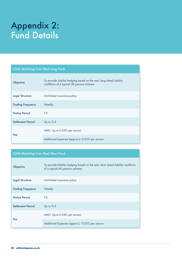| <b>LGIM Matching Core Real Long Fund</b> |                                                                                                                   |  |
|------------------------------------------|-------------------------------------------------------------------------------------------------------------------|--|
| Objective                                | To provide liability hedging based on the real, long dated liability<br>cashflows of a typical UK pension scheme. |  |
| <b>Legal Structure</b>                   | Unit-linked insurance policy                                                                                      |  |
| <b>Trading Frequency</b>                 | Weekly                                                                                                            |  |
| Notice Period                            | $T-2$                                                                                                             |  |
| Settlement Period                        | Up to $T+3$                                                                                                       |  |
|                                          | AMC: Up to 0.24% per annum                                                                                        |  |
| Fee                                      | Additional Expenses (approx.): 0.05% per annum                                                                    |  |

### LGIM Matching Core Real Short Fund

| Objective                | To provide liability hedging based on the real, short dated liability cashflows<br>of a typical UK pension scheme. |
|--------------------------|--------------------------------------------------------------------------------------------------------------------|
| <b>Legal Structure</b>   | Unit-linked insurance policy                                                                                       |
| <b>Trading Frequency</b> | Weekly                                                                                                             |
| Notice Period            | $T-2$                                                                                                              |
| Settlement Period        | Up to $T+3$                                                                                                        |
|                          | AMC: Up to 0.24% per annum                                                                                         |
| Fee                      | Additional Expenses (approx.): 0.05% per annum                                                                     |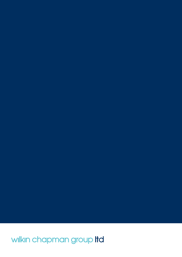wilkin chapman group Itd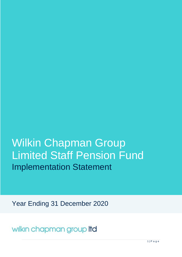# Wilkin Chapman Group Limited Staff Pension Fund Implementation Statement

Year Ending 31 December 2020

wilkin chapman group Itd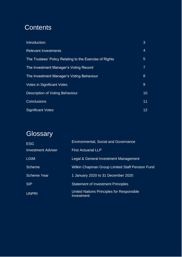### **Contents**

| Introduction                                            | 3              |
|---------------------------------------------------------|----------------|
| <b>Relevant Investments</b>                             | 4              |
| The Trustees' Policy Relating to the Exercise of Rights | $\overline{5}$ |
| The Investment Manager's Voting Record                  | 7              |
| The Investment Manager's Voting Behaviour               | 8              |
| <b>Votes in Significant Votes</b>                       | 9              |
| Description of Voting Behaviour                         | 10             |
| <b>Conclusions</b>                                      | 11             |
| <b>Significant Votes</b>                                | 12             |

### **Glossary**

| <b>ESG</b>                | <b>Environmental, Social and Governance</b>             |
|---------------------------|---------------------------------------------------------|
| <b>Investment Adviser</b> | <b>First Actuarial LLP</b>                              |
| <b>LGIM</b>               | Legal & General Investment Management                   |
| <b>Scheme</b>             | Wilkin Chapman Group Limited Staff Pension Fund         |
| <b>Scheme Year</b>        | 1 January 2020 to 31 December 2020                      |
| <b>SIP</b>                | <b>Statement of Investment Principles</b>               |
| <b>UNPRI</b>              | United Nations Principles for Responsible<br>Investment |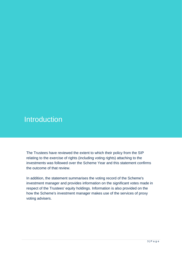### **Introduction**

The Trustees have reviewed the extent to which their policy from the SIP relating to the exercise of rights (including voting rights) attaching to the investments was followed over the Scheme Year and this statement confirms the outcome of that review.

In addition, the statement summarises the voting record of the Scheme's investment manager and provides information on the significant votes made in respect of the Trustees' equity holdings. Information is also provided on the how the Scheme's investment manager makes use of the services of proxy voting advisers.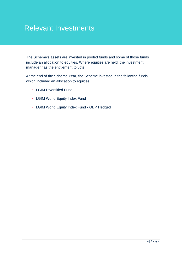### Relevant Investments

The Scheme's assets are invested in pooled funds and some of those funds include an allocation to equities. Where equities are held, the investment manager has the entitlement to vote.

At the end of the Scheme Year, the Scheme invested in the following funds which included an allocation to equities:

- LGIM Diversified Fund
- LGIM World Equity Index Fund
- LGIM World Equity Index Fund GBP Hedged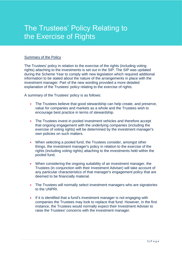#### Summary of the Policy

The Trustees' policy in relation to the exercise of the rights (including voting rights) attaching to the investments is set out in the SIP. The SIP was updated during the Scheme Year to comply with new legislation which required additional information to be stated about the nature of the arrangements in place with the investment manager. Part of the new wording provided a more detailed explanation of the Trustees' policy relating to the exercise of rights.

A summary of the Trustees' policy is as follows:

- The Trustees believe that good stewardship can help create, and preserve, value for companies and markets as a whole and the Trustees wish to encourage best practice in terms of stewardship.
- The Trustees invest in pooled investment vehicles and therefore accept that ongoing engagement with the underlying companies (including the exercise of voting rights) will be determined by the investment manager's own policies on such matters.
- When selecting a pooled fund, the Trustees consider, amongst other things, the investment manager's policy in relation to the exercise of the rights (including voting rights) attaching to the investments held within the pooled fund.
- When considering the ongoing suitability of an investment manager, the Trustees (in conjunction with their Investment Adviser) will take account of any particular characteristics of that manager's engagement policy that are deemed to be financially material.
- The Trustees will normally select investment managers who are signatories to the UNPRI.
- If it is identified that a fund's investment manager is not engaging with companies the Trustees may look to replace that fund. However, in the first instance, the Trustees would normally expect their Investment Adviser to raise the Trustees' concerns with the investment manager.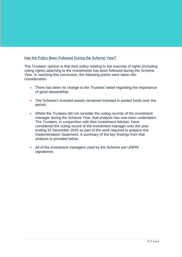#### Has the Policy Been Followed During the Scheme Year?

The Trustees' opinion is that their policy relating to the exercise of rights (including voting rights) attaching to the investments has been followed during the Scheme Year. In reaching this conclusion, the following points were taken into consideration:

- There has been no change to the Trustees' belief regarding the importance of good stewardship.
- The Scheme's invested assets remained invested in pooled funds over the period.
- Whilst the Trustees did not consider the voting records of the investment manager during the Scheme Year, that analysis has now been undertaken. The Trustees, in conjunction with their Investment Adviser, have considered the voting record of the investment manager over the year ending 31 December 2020 as part of the work required to prepare this Implementation Statement. A summary of the key findings from that analysis is provided below.
- All of the investment managers used by the Scheme are UNPRI signatories.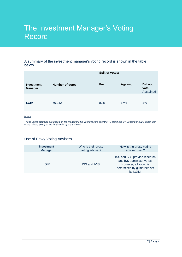### The Investment Manager's Voting Record

#### A summary of the investment manager's voting record is shown in the table below.

|                                     |                 | Split of votes: |                |                               |
|-------------------------------------|-----------------|-----------------|----------------|-------------------------------|
| <b>Investment</b><br><b>Manager</b> | Number of votes | For             | <b>Against</b> | Did not<br>vote/<br>Abstained |
| <b>LGIM</b>                         | 66,242          | 82%             | 17%            | 1%                            |

#### *Notes*

*These voting statistics are based on the manager's full voting record over the 12 months to 31 December 2020 rather than votes related solely to the funds held by the Scheme*

### Use of Proxy Voting Advisers

| Investment  | Who is their proxy  | How is the proxy voting                                                                                                          |
|-------------|---------------------|----------------------------------------------------------------------------------------------------------------------------------|
| Manager     | voting adviser?     | adviser used?                                                                                                                    |
| <b>LGIM</b> | <b>ISS and IVIS</b> | ISS and IVIS provide research<br>and ISS administer votes.<br>However, all voting is<br>determined by guidelines set<br>by LGIM. |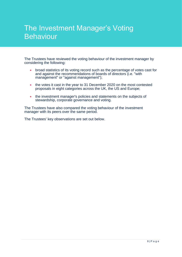### The Investment Manager's Voting Behaviour

The Trustees have reviewed the voting behaviour of the investment manager by considering the following:

- broad statistics of its voting record such as the percentage of votes cast for and against the recommendations of boards of directors (i.e. "with management" or "against management");
- the votes it cast in the year to 31 December 2020 on the most contested proposals in eight categories across the UK, the US and Europe;
- the investment manager's policies and statements on the subjects of stewardship, corporate governance and voting.

The Trustees have also compared the voting behaviour of the investment manager with its peers over the same period.

The Trustees' key observations are set out below.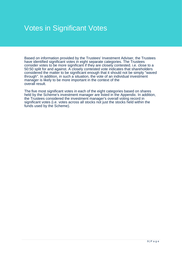### Votes in Significant Votes

Based on information provided by the Trustees' Investment Adviser, the Trustees have identified significant votes in eight separate categories. The Trustees consider votes to be more significant if they are closely contested. i.e. close to a 50:50 split for and against. A closely contested vote indicates that shareholders considered the matter to be significant enough that it should not be simply "waved through". In addition, in such a situation, the vote of an individual investment manager is likely to be more important in the context of the overall result.

The five most significant votes in each of the eight categories based on shares held by the Scheme's investment manager are listed in the Appendix. In addition, the Trustees considered the investment manager's overall voting record in significant votes (i.e. votes across all stocks not just the stocks held within the funds used by the Scheme).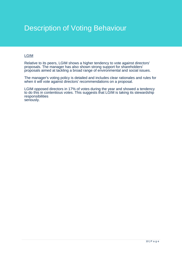### Description of Voting Behaviour

#### LGIM

Relative to its peers, LGIM shows a higher tendency to vote against directors' proposals. The manager has also shown strong support for shareholders' proposals aimed at tackling a broad range of environmental and social issues.

The manager's voting policy is detailed and includes clear rationales and rules for when it will vote against directors' recommendations on a proposal.

LGIM opposed directors in 17% of votes during the year and showed a tendency to do this in contentious votes. This suggests that LGIM is taking its stewardship responsibilities seriously.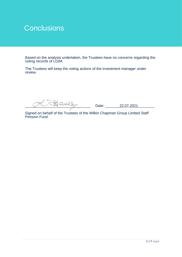### **Conclusions**

Based on the analysis undertaken, the Trustees have no concerns regarding the voting records of LGIM.

The Trustees will keep the voting actions of the investment manager under review.

 $\frac{11}{22.07.2021}$  Date:  $\frac{22.07.2021}{22.07.2021}$ 

Signed on behalf of the Trustees of the Wilkin Chapman Group Limited Staff Pension Fund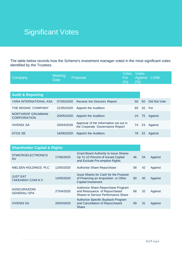### Significant Votes

The table below records how the Scheme's investment manager voted in the most significant votes identified by the Trustees.

| Company                                | <b>Meeting</b><br><b>Date</b> | Proposal                                                                  | Votes<br>For<br>$(\% )$ | <b>Votes</b><br>(%) |        | Against LGIM |
|----------------------------------------|-------------------------------|---------------------------------------------------------------------------|-------------------------|---------------------|--------|--------------|
|                                        |                               |                                                                           |                         |                     |        |              |
| <b>Audit &amp; Reporting</b>           |                               |                                                                           |                         |                     |        |              |
| YARA INTERNATIONAL ASA                 | 07/05/2020                    | Receive the Directors Report                                              |                         | 50                  | 50     | Did Not Vote |
| THE MOSAIC COMPANY                     | 21/05/2020                    | Appoint the Auditors                                                      |                         | 65                  | 32 For |              |
| NORTHROP GRUMMAN<br><b>CORPORATION</b> | 20/05/2020                    | <b>Appoint the Auditors</b>                                               |                         | 24                  | 75     | Against      |
| <b>VIVENDI SA</b>                      | 20/04/2020                    | Approval of the Information set out in<br>the Corporate Governance Report |                         | 74                  | 23     | Against      |
| ATOS SE                                | 16/06/2020                    | <b>Appoint the Auditors</b>                                               |                         | 78                  | 22     | Against      |

| <b>Shareholder Capital &amp; Rights</b>     |            |                                                                                                                      |    |    |         |
|---------------------------------------------|------------|----------------------------------------------------------------------------------------------------------------------|----|----|---------|
| <b>STMICROELECTRONICS</b><br><b>NV</b>      | 17/06/2020 | <b>Grant Board Authority to Issue Shares</b><br>Up To 10 Percent of Issued Capital<br>and Exclude Pre-emptive Rights | 46 | 54 | Against |
| NIELSEN HOLDINGS PLC                        | 12/05/2020 | <b>Authorise Share Repurchase</b>                                                                                    | 58 | 42 | Against |
| <b>JUST EAT</b><br>TAKEAWAY.COM N.V.        | 14/05/2020 | <b>Issue Shares for Cash for the Purpose</b><br>of Financing an Acquisition or Other<br>Capital Investment           | 60 | 40 | Against |
| <b>ASSICURAZIONI</b><br><b>GENERALI SPA</b> | 27/04/2020 | Authorize Share Repurchase Program<br>and Reissuance of Repurchased<br>Shares to Service Performance Share           | 68 | 32 | Against |
| <b>VIVENDI SA</b>                           | 20/04/2020 | Authorize Specific Buyback Program<br>and Cancellation of Repurchased<br><b>Share</b>                                | 69 | 31 | Against |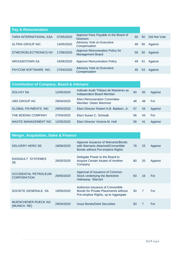| <b>Pay &amp; Remuneration</b> |            |                                                                   |    |    |              |
|-------------------------------|------------|-------------------------------------------------------------------|----|----|--------------|
| YARA INTERNATIONAL ASA        | 07/05/2020 | Approve Fees Payable to the Board of<br><b>Directors</b>          | 50 | 50 | Did Not Vote |
| ALTRIA GROUP INC.             | 14/05/2020 | Advisory Vote on Executive<br>Compensation                        | 49 | 50 | Against      |
| <b>STMICROELECTRONICS NV</b>  | 17/06/2020 | <b>Approve Remuneration Policy for</b><br><b>Management Board</b> | 50 | 50 | Against      |
| <b>AROUNDTOWN SA</b>          | 24/06/2020 | <b>Approve Remuneration Policy</b>                                | 49 | 51 | Against      |
| PAYCOM SOFTWARE INC.          | 27/04/2020 | <b>Advisory Vote on Executive</b><br>Compensation                 | 45 | 53 | Against      |

| <b>Constitution of Company, Board &amp; Advisers</b> |            |                                                                   |    |    |         |
|------------------------------------------------------|------------|-------------------------------------------------------------------|----|----|---------|
| <b>SOLVAY SA</b>                                     | 12/05/2020 | Indicate Aude Thibaut de Maisieres as<br>Independent Board Member | 50 | 50 | Against |
| <b>UBS GROUP AG</b>                                  | 29/04/2020 | <b>Elect Remuneration Committee</b><br>Member: Dieter Wemmer      | 48 | 48 | For     |
| GLOBAL PAYMENTS INC                                  | 29/04/2020 | Elect Director Robert H.B. Baldwin, Jr.                           | 57 | 43 | Against |
| THE BOEING COMPANY                                   | 27/04/2020 | Elect Susan C. Schwab                                             | 56 | 43 | For     |
| WASTE MANAGEMENT INC                                 | 12/05/2020 | Elect Director Victoria M. Holt                                   | 58 | 41 | Against |

| <b>Merger, Acquisition, Sales &amp; Finance</b>   |            |                                                                                                                     |    |                |         |
|---------------------------------------------------|------------|---------------------------------------------------------------------------------------------------------------------|----|----------------|---------|
| DELIVERY HERO SE                                  | 18/06/2020 | Approve Issuance of Warrants/Bonds<br>with Warrants Attached/Convertible<br><b>Bonds without Pre-emptive Rights</b> | 78 | 22             | Against |
| DASSAULT SYSTEMES<br><b>SE</b>                    | 26/05/2020 | Delegate Power to the Board to<br>Acquire Certain Assets of Another<br>Company                                      | 80 | 20             | Against |
| <b>OCCIDENTAL PETROLEUM</b><br><b>CORPORATION</b> | 29/05/2020 | Approval of Issuance of Common<br><b>Stock Underlying the Berkshire</b><br>Hathaway Warrant                         | 83 | 16             | For     |
| SOCIETE GENERALE SA                               | 19/05/2020 | Authorize Issuance of Convertible<br>Bonds for Private Placements without<br>Pre-emptive Rights, up to Aggregate    | 93 | $\overline{7}$ | For     |
| MUENCHENER RUECK AG<br>(MUNICH RE)                | 29/04/2020 | <b>Issue Bonds/Debt Securities</b>                                                                                  | 93 | 7              | For     |